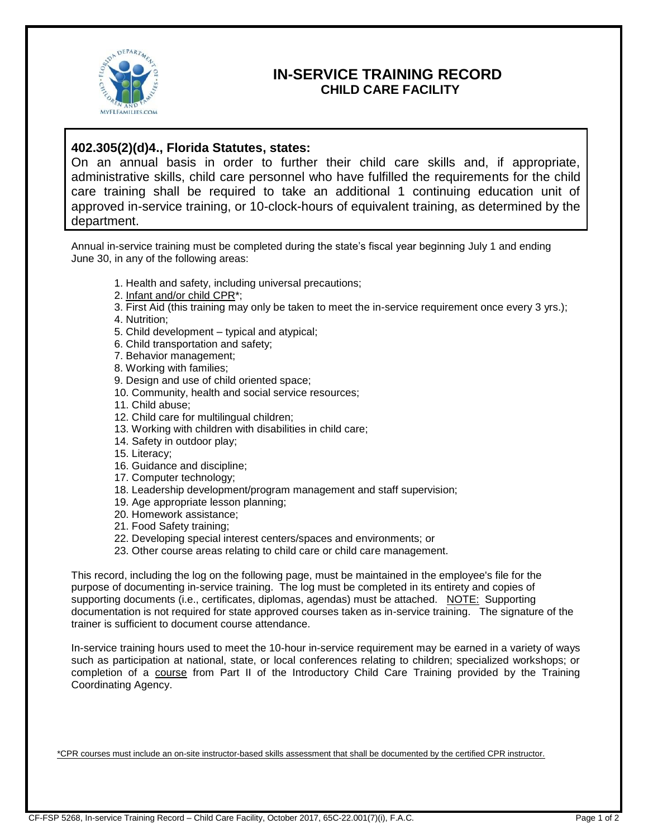

## **IN-SERVICE TRAINING RECORD CHILD CARE FACILITY**

## **402.305(2)(d)4., Florida Statutes, states:**

On an annual basis in order to further their child care skills and, if appropriate, administrative skills, child care personnel who have fulfilled the requirements for the child care training shall be required to take an additional 1 continuing education unit of approved in-service training, or 10-clock-hours of equivalent training, as determined by the department.

Annual in-service training must be completed during the state's fiscal year beginning July 1 and ending June 30, in any of the following areas:

- 1. Health and safety, including universal precautions;
- 2. Infant and/or child CPR\*;
- 3. First Aid (this training may only be taken to meet the in-service requirement once every 3 yrs.);
- 4. Nutrition;
- 5. Child development typical and atypical;
- 6. Child transportation and safety;
- 7. Behavior management;
- 8. Working with families;
- 9. Design and use of child oriented space;
- 10. Community, health and social service resources;
- 11. Child abuse;
- 12. Child care for multilingual children;
- 13. Working with children with disabilities in child care;
- 14. Safety in outdoor play;
- 15. Literacy;
- 16. Guidance and discipline;
- 17. Computer technology;
- 18. Leadership development/program management and staff supervision;
- 19. Age appropriate lesson planning;
- 20. Homework assistance;
- 21. Food Safety training;
- 22. Developing special interest centers/spaces and environments; or
- 23. Other course areas relating to child care or child care management.

This record, including the log on the following page, must be maintained in the employee's file for the purpose of documenting in-service training. The log must be completed in its entirety and copies of supporting documents (i.e., certificates, diplomas, agendas) must be attached. NOTE: Supporting documentation is not required for state approved courses taken as in-service training. The signature of the trainer is sufficient to document course attendance.

In-service training hours used to meet the 10-hour in-service requirement may be earned in a variety of ways such as participation at national, state, or local conferences relating to children; specialized workshops; or completion of a course from Part II of the Introductory Child Care Training provided by the Training Coordinating Agency.

\*CPR courses must include an on-site instructor-based skills assessment that shall be documented by the certified CPR instructor.